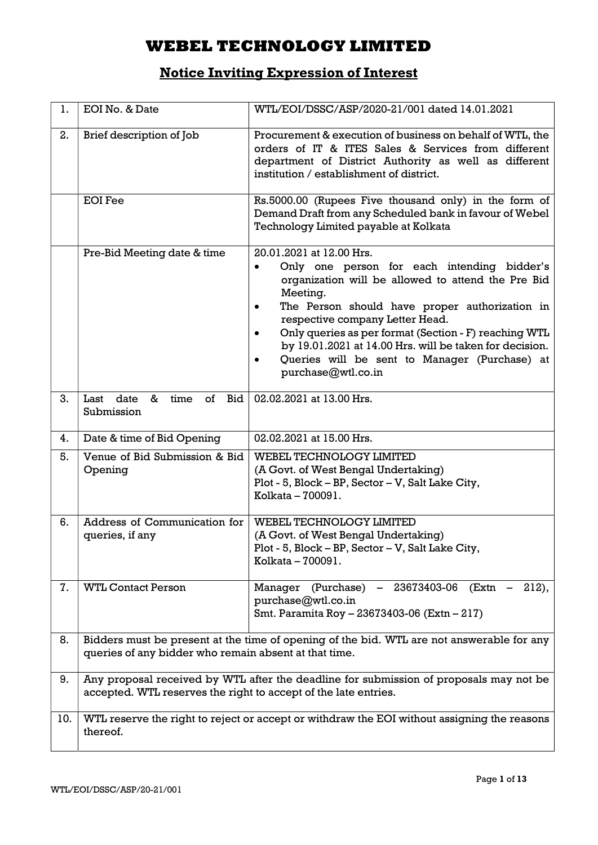# Notice Inviting Expression of Interest

| 1.  | EOI No. & Date                                                  | WTL/EOI/DSSC/ASP/2020-21/001 dated 14.01.2021                                                                                                                                                                                                                                                                                                                                                                                                                    |
|-----|-----------------------------------------------------------------|------------------------------------------------------------------------------------------------------------------------------------------------------------------------------------------------------------------------------------------------------------------------------------------------------------------------------------------------------------------------------------------------------------------------------------------------------------------|
| 2.  | Brief description of Job                                        | Procurement & execution of business on behalf of WTL, the<br>orders of IT & ITES Sales & Services from different<br>department of District Authority as well as different<br>institution / establishment of district.                                                                                                                                                                                                                                            |
|     | <b>EOI</b> Fee                                                  | Rs.5000.00 (Rupees Five thousand only) in the form of<br>Demand Draft from any Scheduled bank in favour of Webel<br>Technology Limited payable at Kolkata                                                                                                                                                                                                                                                                                                        |
|     | Pre-Bid Meeting date & time                                     | 20.01.2021 at 12.00 Hrs.<br>Only one person for each intending bidder's<br>$\bullet$<br>organization will be allowed to attend the Pre Bid<br>Meeting.<br>The Person should have proper authorization in<br>$\bullet$<br>respective company Letter Head.<br>Only queries as per format (Section - F) reaching WTL<br>by 19.01.2021 at 14.00 Hrs. will be taken for decision.<br>Queries will be sent to Manager (Purchase) at<br>$\bullet$<br>purchase@wtl.co.in |
| 3.  | of<br>Last<br>date<br>time<br>Bid<br>&<br>Submission            | 02.02.2021 at 13.00 Hrs.                                                                                                                                                                                                                                                                                                                                                                                                                                         |
| 4.  | Date & time of Bid Opening                                      | 02.02.2021 at 15.00 Hrs.                                                                                                                                                                                                                                                                                                                                                                                                                                         |
| 5.  | Venue of Bid Submission & Bid<br>Opening                        | WEBEL TECHNOLOGY LIMITED<br>(A Govt. of West Bengal Undertaking)<br>Plot - 5, Block - BP, Sector - V, Salt Lake City,<br>Kolkata - 700091.                                                                                                                                                                                                                                                                                                                       |
| 6.  | Address of Communication for<br>queries, if any                 | WEBEL TECHNOLOGY LIMITED<br>(A Govt. of West Bengal Undertaking)<br>Plot - 5, Block - BP, Sector - V, Salt Lake City,<br>Kolkata - 700091.                                                                                                                                                                                                                                                                                                                       |
| 7.  | <b>WTL Contact Person</b>                                       | Manager (Purchase) - 23673403-06<br>$(Extn - 212),$<br>purchase@wtl.co.in<br>Smt. Paramita Roy - 23673403-06 (Extn - 217)                                                                                                                                                                                                                                                                                                                                        |
| 8.  | queries of any bidder who remain absent at that time.           | Bidders must be present at the time of opening of the bid. WTL are not answerable for any                                                                                                                                                                                                                                                                                                                                                                        |
| 9.  | accepted. WTL reserves the right to accept of the late entries. | Any proposal received by WTL after the deadline for submission of proposals may not be                                                                                                                                                                                                                                                                                                                                                                           |
| 10. | thereof.                                                        | WTL reserve the right to reject or accept or withdraw the EOI without assigning the reasons                                                                                                                                                                                                                                                                                                                                                                      |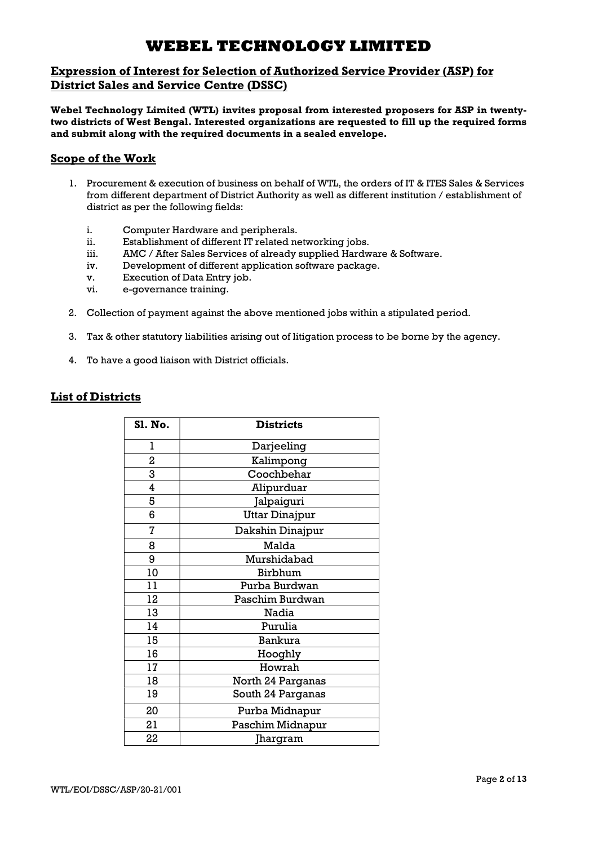### Expression of Interest for Selection of Authorized Service Provider (ASP) for District Sales and Service Centre (DSSC)

Webel Technology Limited (WTL) invites proposal from interested proposers for ASP in twentytwo districts of West Bengal. Interested organizations are requested to fill up the required forms and submit along with the required documents in a sealed envelope.

### Scope of the Work

- 1. Procurement & execution of business on behalf of WTL, the orders of IT & ITES Sales & Services from different department of District Authority as well as different institution / establishment of district as per the following fields:
	- i. Computer Hardware and peripherals.
	- ii. Establishment of different IT related networking jobs.
	- iii. AMC / After Sales Services of already supplied Hardware & Software.
	- iv. Development of different application software package.
	- v. Execution of Data Entry job.
	- vi. e-governance training.
- 2. Collection of payment against the above mentioned jobs within a stipulated period.
- 3. Tax & other statutory liabilities arising out of litigation process to be borne by the agency.
- 4. To have a good liaison with District officials.

### List of Districts

| <b>S1. No.</b> | <b>Districts</b>      |
|----------------|-----------------------|
| ı              | Darjeeling            |
| 2              | Kalimpong             |
| 3              | Coochbehar            |
| 4              | Alipurduar            |
| 5              | Jalpaiguri            |
| 6              | <b>Uttar Dinajpur</b> |
| 7              | Dakshin Dinajpur      |
| 8              | Malda                 |
| 9              | Murshidabad           |
| 10             | Birbhum               |
| 11             | Purba Burdwan         |
| 12             | Paschim Burdwan       |
| 13             | Nadia                 |
| 14             | Purulia               |
| 15             | <b>Bankura</b>        |
| 16             | Hooghly               |
| 17             | Howrah                |
| 18             | North 24 Parganas     |
| 19             | South 24 Parganas     |
| 20             | Purba Midnapur        |
| 21             | Paschim Midnapur      |
| 22             | Jhargram              |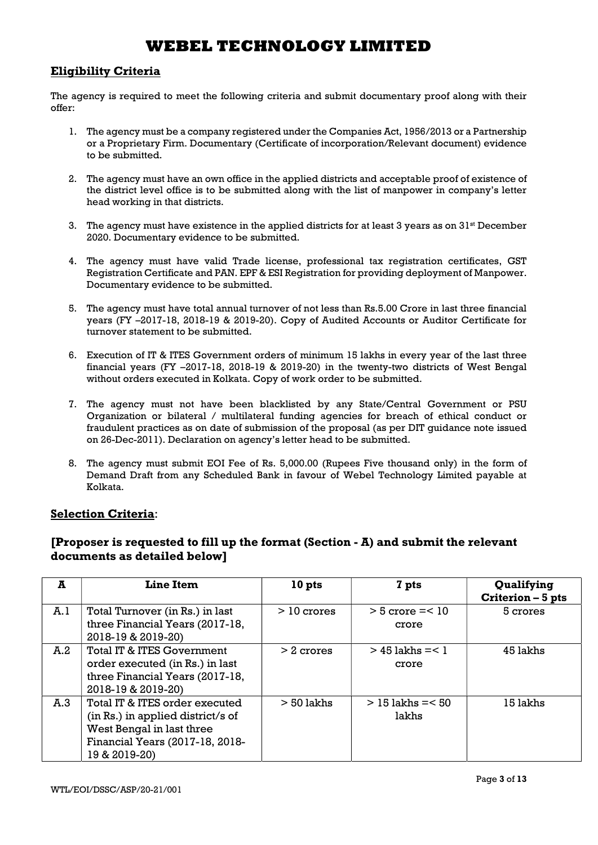### Eligibility Criteria

The agency is required to meet the following criteria and submit documentary proof along with their offer:

- 1. The agency must be a company registered under the Companies Act, 1956/2013 or a Partnership or a Proprietary Firm. Documentary (Certificate of incorporation/Relevant document) evidence to be submitted.
- 2. The agency must have an own office in the applied districts and acceptable proof of existence of the district level office is to be submitted along with the list of manpower in company's letter head working in that districts.
- 3. The agency must have existence in the applied districts for at least 3 years as on  $31<sup>st</sup>$  December 2020. Documentary evidence to be submitted.
- 4. The agency must have valid Trade license, professional tax registration certificates, GST Registration Certificate and PAN. EPF & ESI Registration for providing deployment of Manpower. Documentary evidence to be submitted.
- 5. The agency must have total annual turnover of not less than Rs.5.00 Crore in last three financial years (FY –2017-18, 2018-19 & 2019-20). Copy of Audited Accounts or Auditor Certificate for turnover statement to be submitted.
- 6. Execution of IT & ITES Government orders of minimum 15 lakhs in every year of the last three financial years (FY –2017-18, 2018-19 & 2019-20) in the twenty-two districts of West Bengal without orders executed in Kolkata. Copy of work order to be submitted.
- 7. The agency must not have been blacklisted by any State/Central Government or PSU Organization or bilateral / multilateral funding agencies for breach of ethical conduct or fraudulent practices as on date of submission of the proposal (as per DIT guidance note issued on 26-Dec-2011). Declaration on agency's letter head to be submitted.
- 8. The agency must submit EOI Fee of Rs. 5,000.00 (Rupees Five thousand only) in the form of Demand Draft from any Scheduled Bank in favour of Webel Technology Limited payable at Kolkata.

### Selection Criteria:

## [Proposer is requested to fill up the format (Section - A) and submit the relevant documents as detailed below]

| A   | <b>Line Item</b>                                                                                                                                     | 10 pts       | 7 pts                          | Qualifying<br>Criterion - 5 pts |
|-----|------------------------------------------------------------------------------------------------------------------------------------------------------|--------------|--------------------------------|---------------------------------|
| A.1 | Total Turnover (in Rs.) in last<br>three Financial Years (2017-18,<br>2018-19 & 2019-20)                                                             | $>10$ crores | $>$ 5 crore $=<$ 10<br>crore   | 5 crores                        |
| A.2 | Total IT & ITES Government<br>order executed (in Rs.) in last<br>three Financial Years (2017-18,<br>2018-19 & 2019-20)                               | $>2$ crores  | $>$ 45 lakhs = $<$ 1<br>crore  | 45 lakhs                        |
| A.3 | Total IT & ITES order executed<br>(in Rs.) in applied district/s of<br>West Bengal in last three<br>Financial Years (2017-18, 2018-<br>19 & 2019-20) | $> 50$ lakhs | $> 15$ lakhs = $< 50$<br>lakhs | 15 lakhs                        |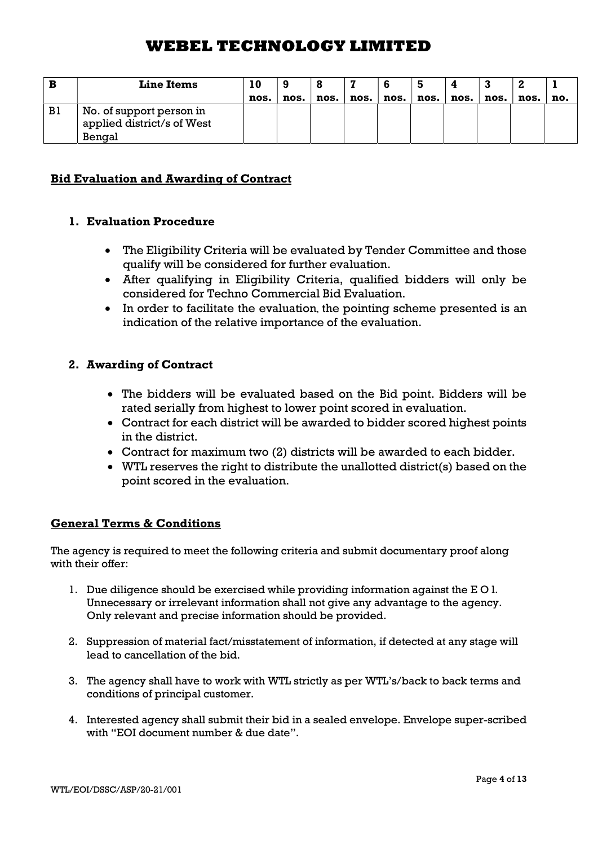| B  | <b>Line Items</b>                                                |      |      |      |      |      |      |      |      |      |     |
|----|------------------------------------------------------------------|------|------|------|------|------|------|------|------|------|-----|
|    |                                                                  | nos. | nos. | nos. | nos. | nos. | nos. | nos. | nos. | nos. | no. |
| B1 | No. of support person in<br>applied district/s of West<br>Bengal |      |      |      |      |      |      |      |      |      |     |

## Bid Evaluation and Awarding of Contract

## 1. Evaluation Procedure

- The Eligibility Criteria will be evaluated by Tender Committee and those qualify will be considered for further evaluation.
- After qualifying in Eligibility Criteria, qualified bidders will only be considered for Techno Commercial Bid Evaluation.
- In order to facilitate the evaluation, the pointing scheme presented is an indication of the relative importance of the evaluation.

## 2. Awarding of Contract

- The bidders will be evaluated based on the Bid point. Bidders will be rated serially from highest to lower point scored in evaluation.
- Contract for each district will be awarded to bidder scored highest points in the district.
- Contract for maximum two (2) districts will be awarded to each bidder.
- WTL reserves the right to distribute the unallotted district(s) based on the point scored in the evaluation.

### General Terms & Conditions

The agency is required to meet the following criteria and submit documentary proof along with their offer:

- 1. Due diligence should be exercised while providing information against the E O l. Unnecessary or irrelevant information shall not give any advantage to the agency. Only relevant and precise information should be provided.
- 2. Suppression of material fact/misstatement of information, if detected at any stage will lead to cancellation of the bid.
- 3. The agency shall have to work with WTL strictly as per WTL's/back to back terms and conditions of principal customer.
- 4. Interested agency shall submit their bid in a sealed envelope. Envelope super-scribed with "EOI document number & due date".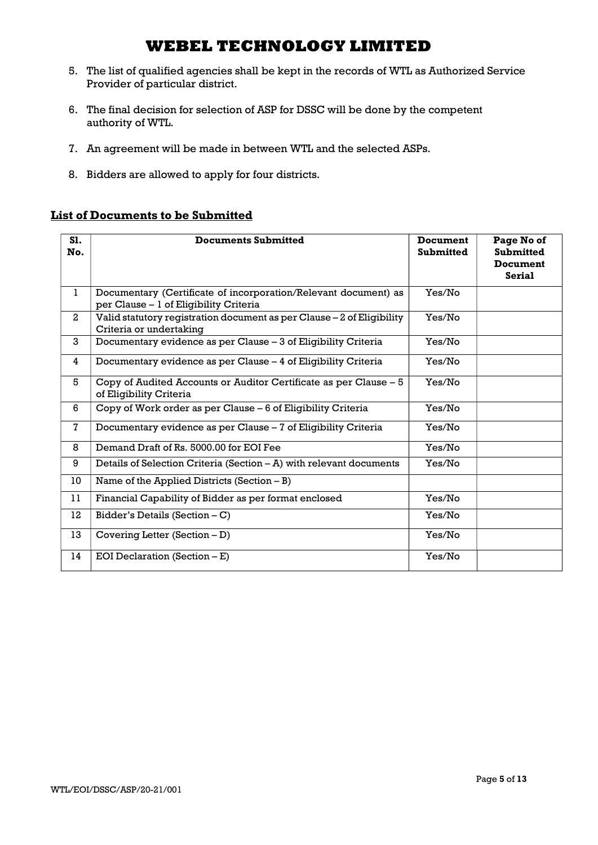- 5. The list of qualified agencies shall be kept in the records of WTL as Authorized Service Provider of particular district.
- 6. The final decision for selection of ASP for DSSC will be done by the competent authority of WTL.
- 7. An agreement will be made in between WTL and the selected ASPs.
- 8. Bidders are allowed to apply for four districts.

### List of Documents to be Submitted

| S1.<br>No.     | <b>Documents Submitted</b>                                                                                | <b>Document</b><br><b>Submitted</b> | Page No of<br><b>Submitted</b><br><b>Document</b><br><b>Serial</b> |
|----------------|-----------------------------------------------------------------------------------------------------------|-------------------------------------|--------------------------------------------------------------------|
| $\mathbf{1}$   | Documentary (Certificate of incorporation/Relevant document) as<br>per Clause - 1 of Eligibility Criteria | Yes/No                              |                                                                    |
| $\mathbf{2}$   | Valid statutory registration document as per Clause - 2 of Eligibility<br>Criteria or undertaking         | Yes/No                              |                                                                    |
| 3              | Documentary evidence as per Clause - 3 of Eligibility Criteria                                            | Yes/No                              |                                                                    |
| 4              | Documentary evidence as per Clause - 4 of Eligibility Criteria                                            | Yes/No                              |                                                                    |
| 5              | Copy of Audited Accounts or Auditor Certificate as per Clause - 5<br>of Eligibility Criteria              | Yes/No                              |                                                                    |
| 6              | Copy of Work order as per Clause – 6 of Eligibility Criteria                                              | Yes/No                              |                                                                    |
| $\overline{7}$ | Documentary evidence as per Clause - 7 of Eligibility Criteria                                            | Yes/No                              |                                                                    |
| 8              | Demand Draft of Rs. 5000.00 for EOI Fee                                                                   | Yes/No                              |                                                                    |
| 9              | Details of Selection Criteria (Section - A) with relevant documents                                       | Yes/No                              |                                                                    |
| 10             | Name of the Applied Districts (Section $-B$ )                                                             |                                     |                                                                    |
| 11             | Financial Capability of Bidder as per format enclosed                                                     | Yes/No                              |                                                                    |
| 12             | Bidder's Details (Section $- C$ )                                                                         | Yes/No                              |                                                                    |
| 13             | Covering Letter (Section - D)                                                                             | Yes/No                              |                                                                    |
| 14             | EOI Declaration (Section $-E$ )                                                                           | Yes/No                              |                                                                    |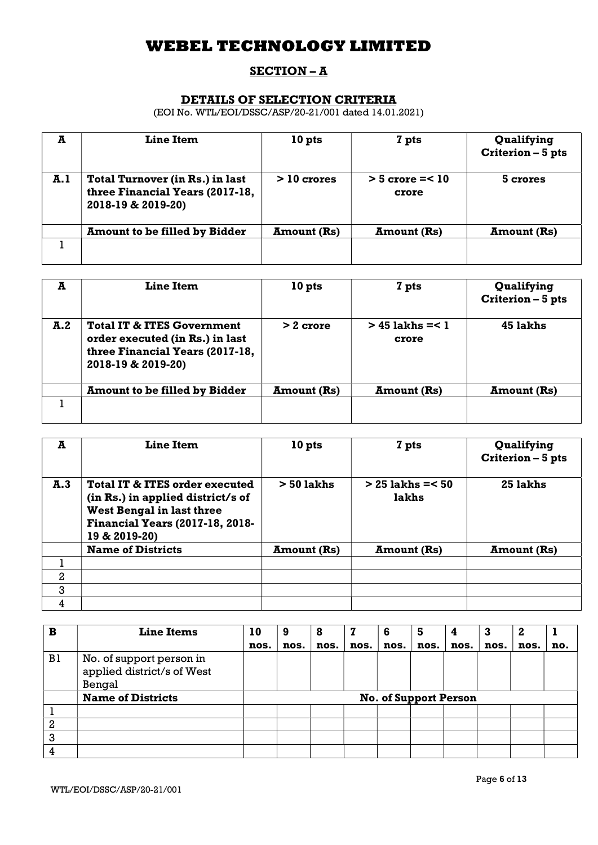## SECTION – A

## DETAILS OF SELECTION CRITERIA

(EOI No. WTL/EOI/DSSC/ASP/20-21/001 dated 14.01.2021)

| A   | Line Item                                                                                       | 10 <sub>pts</sub>  | 7 pts                         | Qualifying<br>Criterion - 5 pts |
|-----|-------------------------------------------------------------------------------------------------|--------------------|-------------------------------|---------------------------------|
| A.1 | <b>Total Turnover (in Rs.) in last</b><br>three Financial Years (2017-18,<br>2018-19 & 2019-20) | $>10$ crores       | $>$ 5 crore = $<$ 10<br>crore | 5 crores                        |
|     | <b>Amount to be filled by Bidder</b>                                                            | <b>Amount</b> (Rs) | <b>Amount</b> (Rs)            | <b>Amount</b> (Rs)              |
|     |                                                                                                 |                    |                               |                                 |

| A   | Line Item                                                                                                                         | 10 pts             | 7 pts                         | Qualifying<br>Criterion - 5 pts |
|-----|-----------------------------------------------------------------------------------------------------------------------------------|--------------------|-------------------------------|---------------------------------|
| A.2 | <b>Total IT &amp; ITES Government</b><br>order executed (in Rs.) in last<br>three Financial Years (2017-18,<br>2018-19 & 2019-20) | $> 2$ crore        | $> 45$ lakhs = $< 1$<br>crore | 45 lakhs                        |
|     | <b>Amount to be filled by Bidder</b>                                                                                              | <b>Amount</b> (Rs) | <b>Amount</b> (Rs)            | <b>Amount (Rs)</b>              |
|     |                                                                                                                                   |                    |                               |                                 |

| A            | <b>Line Item</b>                                                                                                                                                   | 10 pts             | 7 pts                          | Qualifying<br>Criterion - 5 pts |
|--------------|--------------------------------------------------------------------------------------------------------------------------------------------------------------------|--------------------|--------------------------------|---------------------------------|
| A.3          | Total IT & ITES order executed<br>(in Rs.) in applied district/s of<br><b>West Bengal in last three</b><br><b>Financial Years (2017-18, 2018-</b><br>19 & 2019-20) | $> 50$ lakhs       | $> 25$ lakhs = $< 50$<br>lakhs | 25 lakhs                        |
|              | <b>Name of Districts</b>                                                                                                                                           | <b>Amount (Rs)</b> | <b>Amount</b> (Rs)             | <b>Amount (Rs)</b>              |
|              |                                                                                                                                                                    |                    |                                |                                 |
| $\mathbf{2}$ |                                                                                                                                                                    |                    |                                |                                 |
| 3            |                                                                                                                                                                    |                    |                                |                                 |
| 4            |                                                                                                                                                                    |                    |                                |                                 |

| B  | <b>Line Items</b>                                                | 10   | 9    | 8    |      | 6    | 5                            | 4    | 3    | 2    |     |
|----|------------------------------------------------------------------|------|------|------|------|------|------------------------------|------|------|------|-----|
|    |                                                                  | nos. | nos. | nos. | nos. | nos. | nos.                         | nos. | nos. | nos. | no. |
| B1 | No. of support person in<br>applied district/s of West<br>Bengal |      |      |      |      |      |                              |      |      |      |     |
|    | <b>Name of Districts</b>                                         |      |      |      |      |      | <b>No. of Support Person</b> |      |      |      |     |
|    |                                                                  |      |      |      |      |      |                              |      |      |      |     |
| 2  |                                                                  |      |      |      |      |      |                              |      |      |      |     |
| 3  |                                                                  |      |      |      |      |      |                              |      |      |      |     |
|    |                                                                  |      |      |      |      |      |                              |      |      |      |     |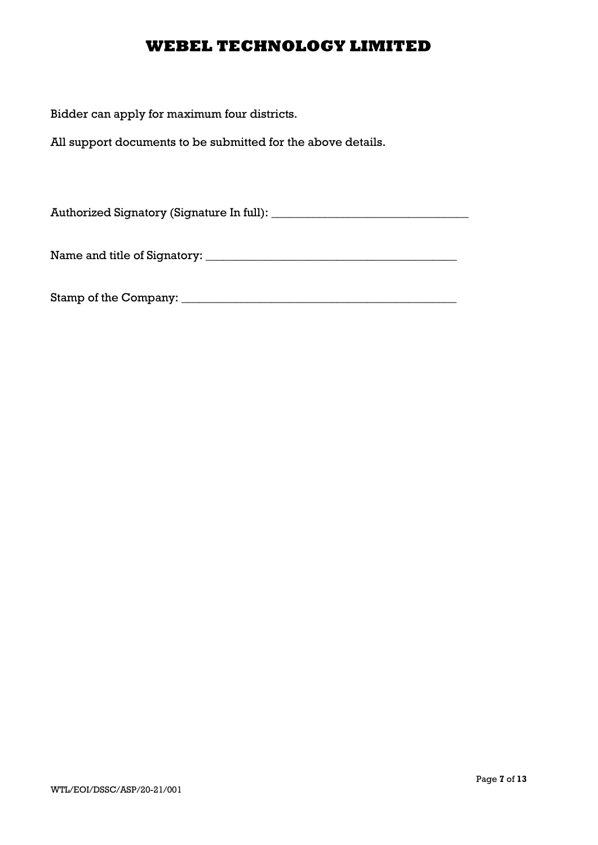Bidder can apply for maximum four districts.

All support documents to be submitted for the above details.

Authorized Signatory (Signature In full): \_\_\_\_\_\_\_\_\_\_\_\_\_\_\_\_\_\_\_\_\_\_\_\_\_\_\_\_\_\_\_\_\_

Name and title of Signatory: \_\_\_\_\_\_\_\_\_\_\_\_\_\_\_\_\_\_\_\_\_\_\_\_\_\_\_\_\_\_\_\_\_\_\_\_\_\_\_\_\_\_

Stamp of the Company: \_\_\_\_\_\_\_\_\_\_\_\_\_\_\_\_\_\_\_\_\_\_\_\_\_\_\_\_\_\_\_\_\_\_\_\_\_\_\_\_\_\_\_\_\_\_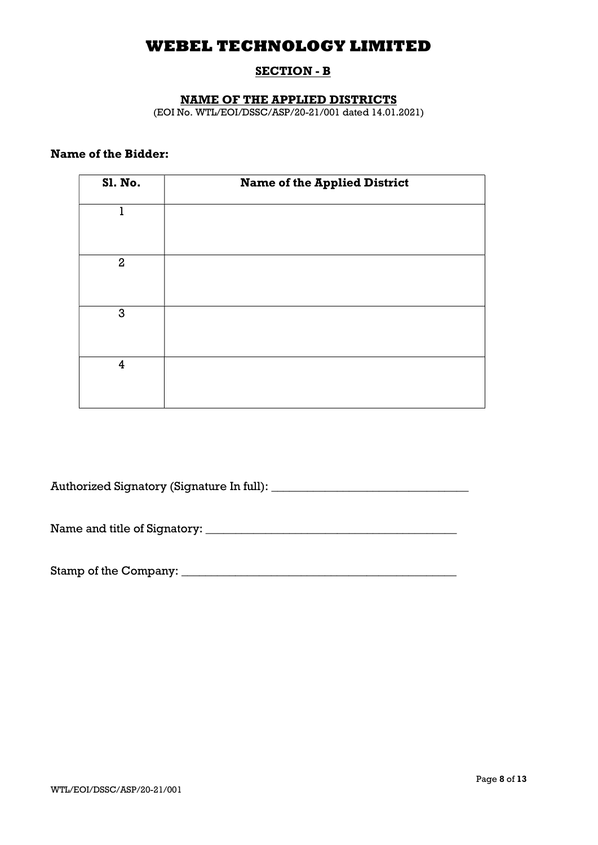## SECTION - B

### NAME OF THE APPLIED DISTRICTS

(EOI No. WTL/EOI/DSSC/ASP/20-21/001 dated 14.01.2021)

## Name of the Bidder:

| Sl. No.          | <b>Name of the Applied District</b> |
|------------------|-------------------------------------|
| 1                |                                     |
| $\boldsymbol{2}$ |                                     |
| $\mathbf{3}$     |                                     |
| $\overline{4}$   |                                     |

Authorized Signatory (Signature In full): \_\_\_\_\_\_\_\_\_\_\_\_\_\_\_\_\_\_\_\_\_\_\_\_\_\_\_\_\_\_\_\_\_

Name and title of Signatory: \_\_\_\_\_\_\_\_\_\_\_\_\_\_\_\_\_\_\_\_\_\_\_\_\_\_\_\_\_\_\_\_\_\_\_\_\_\_\_\_\_\_

Stamp of the Company: \_\_\_\_\_\_\_\_\_\_\_\_\_\_\_\_\_\_\_\_\_\_\_\_\_\_\_\_\_\_\_\_\_\_\_\_\_\_\_\_\_\_\_\_\_\_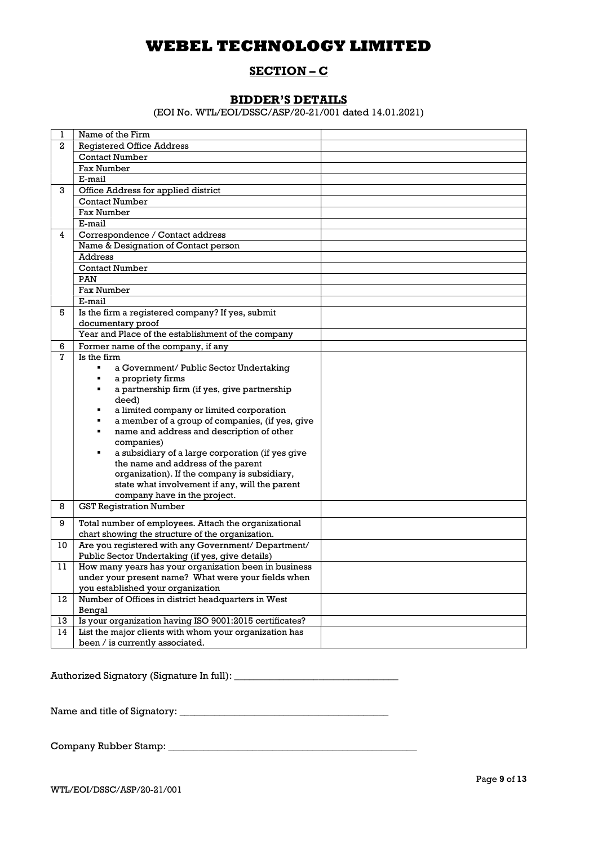### SECTION – C

### BIDDER'S DETAILS

(EOI No. WTL/EOI/DSSC/ASP/20-21/001 dated 14.01.2021)

| 1  | Name of the Firm                                          |  |
|----|-----------------------------------------------------------|--|
| 2  | <b>Registered Office Address</b>                          |  |
|    | <b>Contact Number</b>                                     |  |
|    | Fax Number                                                |  |
|    | E-mail                                                    |  |
| 3  | Office Address for applied district                       |  |
|    | <b>Contact Number</b>                                     |  |
|    | <b>Fax Number</b>                                         |  |
|    | E-mail                                                    |  |
| 4  | Correspondence / Contact address                          |  |
|    | Name & Designation of Contact person                      |  |
|    | Address                                                   |  |
|    | <b>Contact Number</b>                                     |  |
|    | PAN                                                       |  |
|    | Fax Number                                                |  |
|    | E-mail                                                    |  |
| 5  | Is the firm a registered company? If yes, submit          |  |
|    | documentary proof                                         |  |
|    | Year and Place of the establishment of the company        |  |
| 6  | Former name of the company, if any                        |  |
| 7  | Is the firm                                               |  |
|    | a Government/ Public Sector Undertaking<br>$\blacksquare$ |  |
|    | a propriety firms                                         |  |
|    | a partnership firm (if yes, give partnership              |  |
|    | deed)                                                     |  |
|    | a limited company or limited corporation                  |  |
|    | a member of a group of companies, (if yes, give           |  |
|    | name and address and description of other                 |  |
|    | companies)                                                |  |
|    | a subsidiary of a large corporation (if yes give          |  |
|    | the name and address of the parent                        |  |
|    | organization). If the company is subsidiary,              |  |
|    | state what involvement if any, will the parent            |  |
|    | company have in the project.                              |  |
| 8  | <b>GST Registration Number</b>                            |  |
| 9  | Total number of employees. Attach the organizational      |  |
|    | chart showing the structure of the organization.          |  |
| 10 | Are you registered with any Government/ Department/       |  |
|    | Public Sector Undertaking (if yes, give details)          |  |
| 11 | How many years has your organization been in business     |  |
|    | under your present name? What were your fields when       |  |
|    | you established your organization                         |  |
| 12 | Number of Offices in district headquarters in West        |  |
|    | Bengal                                                    |  |
| 13 | Is your organization having ISO 9001:2015 certificates?   |  |
| 14 | List the major clients with whom your organization has    |  |
|    | been / is currently associated.                           |  |

Authorized Signatory (Signature In full):

Name and title of Signatory: \_\_\_\_\_\_\_\_\_\_\_\_\_\_\_\_\_\_\_\_\_\_\_\_\_\_\_\_\_\_\_\_\_\_\_\_\_\_\_\_\_\_

Company Rubber Stamp: \_\_\_\_\_\_\_\_\_\_\_\_\_\_\_\_\_\_\_\_\_\_\_\_\_\_\_\_\_\_\_\_\_\_\_\_\_\_\_\_\_\_\_\_\_\_\_\_\_\_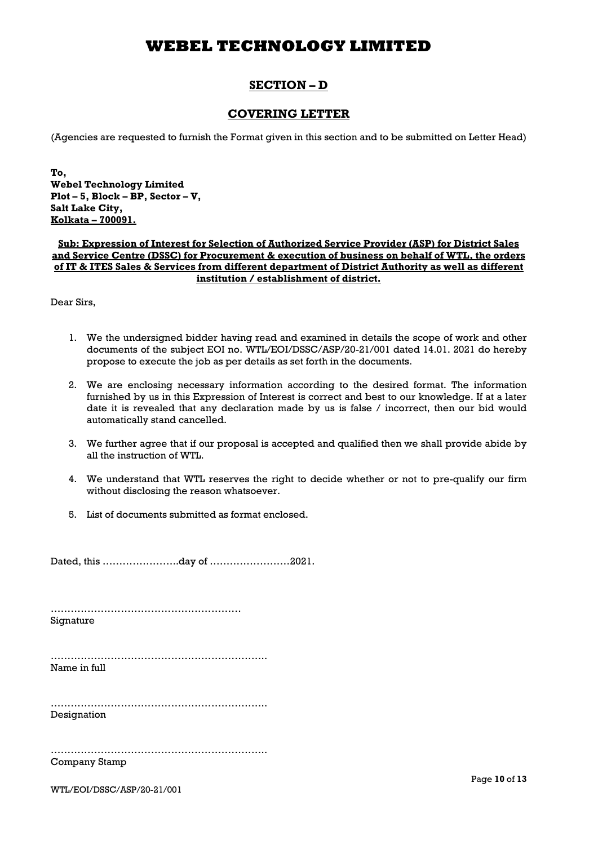## SECTION – D

#### COVERING LETTER

(Agencies are requested to furnish the Format given in this section and to be submitted on Letter Head)

To, Webel Technology Limited Plot – 5, Block –  $\overline{BP}$ , Sector – V, Salt Lake City, Kolkata – 700091.

#### Sub: Expression of Interest for Selection of Authorized Service Provider (ASP) for District Sales and Service Centre (DSSC) for Procurement & execution of business on behalf of WTL, the orders of IT & ITES Sales & Services from different department of District Authority as well as different institution / establishment of district.

Dear Sirs,

- 1. We the undersigned bidder having read and examined in details the scope of work and other documents of the subject EOI no. WTL/EOI/DSSC/ASP/20-21/001 dated 14.01. 2021 do hereby propose to execute the job as per details as set forth in the documents.
- 2. We are enclosing necessary information according to the desired format. The information furnished by us in this Expression of Interest is correct and best to our knowledge. If at a later date it is revealed that any declaration made by us is false / incorrect, then our bid would automatically stand cancelled.
- 3. We further agree that if our proposal is accepted and qualified then we shall provide abide by all the instruction of WTL.
- 4. We understand that WTL reserves the right to decide whether or not to pre-qualify our firm without disclosing the reason whatsoever.
- 5. List of documents submitted as format enclosed.

Dated, this …………………..day of ……………………2021.

…………………………………………………

Signature

……………………………………………………….. Name in full

……………………………………………………….. Designation

……………………………………………………….. Company Stamp

WTL/EOI/DSSC/ASP/20-21/001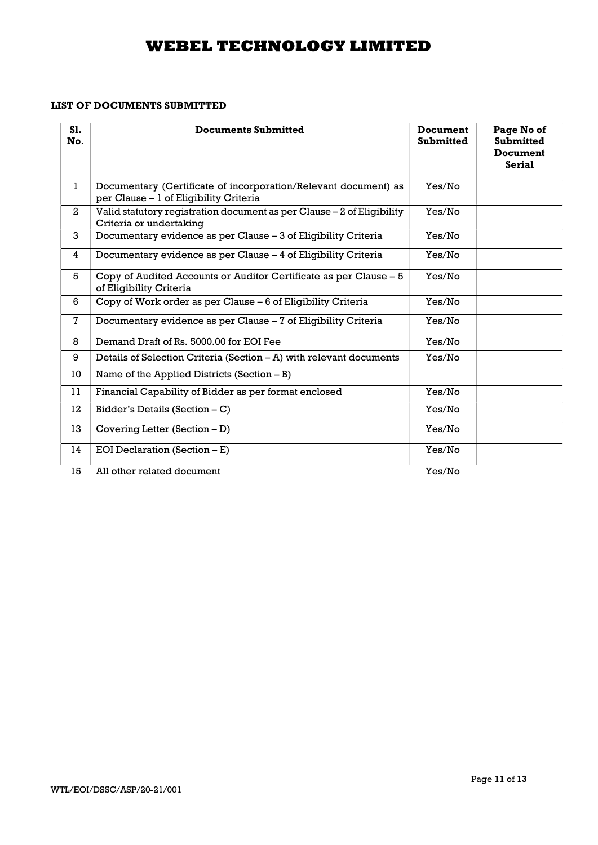### LIST OF DOCUMENTS SUBMITTED

| S1.<br>No.     | <b>Documents Submitted</b>                                                                                | <b>Document</b><br><b>Submitted</b> | Page No of<br><b>Submitted</b><br>Document<br><b>Serial</b> |
|----------------|-----------------------------------------------------------------------------------------------------------|-------------------------------------|-------------------------------------------------------------|
| $\mathbf{1}$   | Documentary (Certificate of incorporation/Relevant document) as<br>per Clause - 1 of Eligibility Criteria | Yes/No                              |                                                             |
| $\overline{2}$ | Valid statutory registration document as per Clause - 2 of Eligibility<br>Criteria or undertaking         | Yes/No                              |                                                             |
| 3              | Documentary evidence as per Clause - 3 of Eligibility Criteria                                            | Yes/No                              |                                                             |
| 4              | Documentary evidence as per Clause - 4 of Eligibility Criteria                                            | Yes/No                              |                                                             |
| 5              | Copy of Audited Accounts or Auditor Certificate as per Clause - 5<br>of Eligibility Criteria              | Yes/No                              |                                                             |
| 6              | Copy of Work order as per Clause – 6 of Eligibility Criteria                                              | Yes/No                              |                                                             |
| $\mathbf 7$    | Documentary evidence as per Clause - 7 of Eligibility Criteria                                            | Yes/No                              |                                                             |
| 8              | Demand Draft of Rs. 5000.00 for EOI Fee                                                                   | Yes/No                              |                                                             |
| 9              | Details of Selection Criteria (Section – A) with relevant documents                                       | Yes/No                              |                                                             |
| 10             | Name of the Applied Districts (Section $-B$ )                                                             |                                     |                                                             |
| 11             | Financial Capability of Bidder as per format enclosed                                                     | Yes/No                              |                                                             |
| 12             | Bidder's Details (Section $- C$ )                                                                         | Yes/No                              |                                                             |
| 13             | Covering Letter (Section - D)                                                                             | Yes/No                              |                                                             |
| 14             | EOI Declaration (Section $-E$ )                                                                           | Yes/No                              |                                                             |
| 15             | All other related document                                                                                | Yes/No                              |                                                             |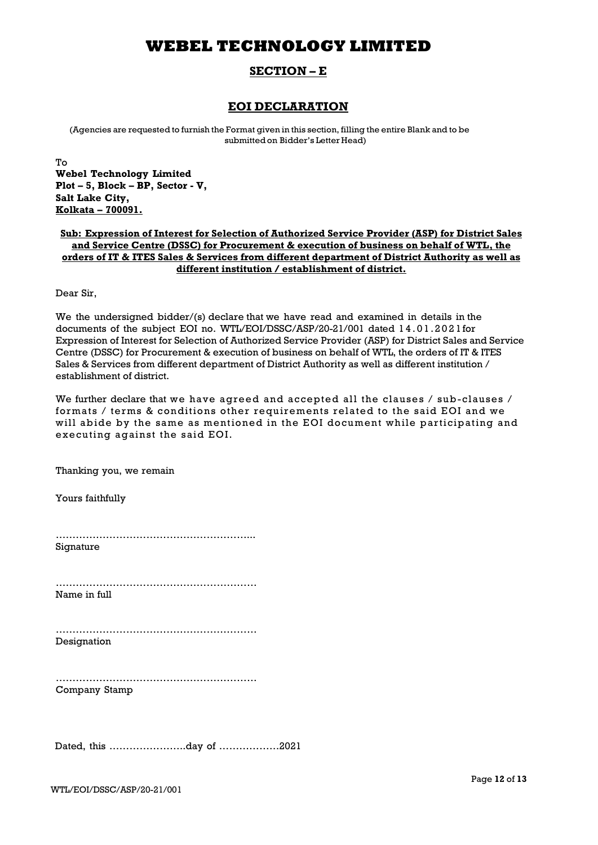### SECTION – E

### EOI DECLARATION

(Agencies are requested to furnish the Format given in this section, filling the entire Blank and to be submitted on Bidder's Letter Head)

To Webel Technology Limited Plot – 5, Block – BP, Sector - V, Salt Lake City, Kolkata – 700091.

#### Sub: Expression of Interest for Selection of Authorized Service Provider (ASP) for District Sales and Service Centre (DSSC) for Procurement & execution of business on behalf of WTL, the orders of IT & ITES Sales & Services from different department of District Authority as well as different institution / establishment of district.

Dear Sir,

We the undersigned bidder/(s) declare that we have read and examined in details in the documents of the subject EOI no. WTL/EOI/DSSC/ASP/20-21/001 dated 1 4 . 0 1 . 2 0 2 1 for Expression of Interest for Selection of Authorized Service Provider (ASP) for District Sales and Service Centre (DSSC) for Procurement & execution of business on behalf of WTL, the orders of IT & ITES Sales & Services from different department of District Authority as well as different institution / establishment of district.

We further declare that we have agreed and accepted all the clauses  $/$  sub-clauses  $/$ formats / terms & conditions other requirements related to the said EOI and we will abide by the same as mentioned in the EOI document while participating and executing against the said EOI.

Thanking you, we remain Yours faithfully …………………………………………………... Signature …………………………………………………… Name in full …………………………………………………… Designation …………………………………………………… Company Stamp Dated, this …………………..day of ………………2021